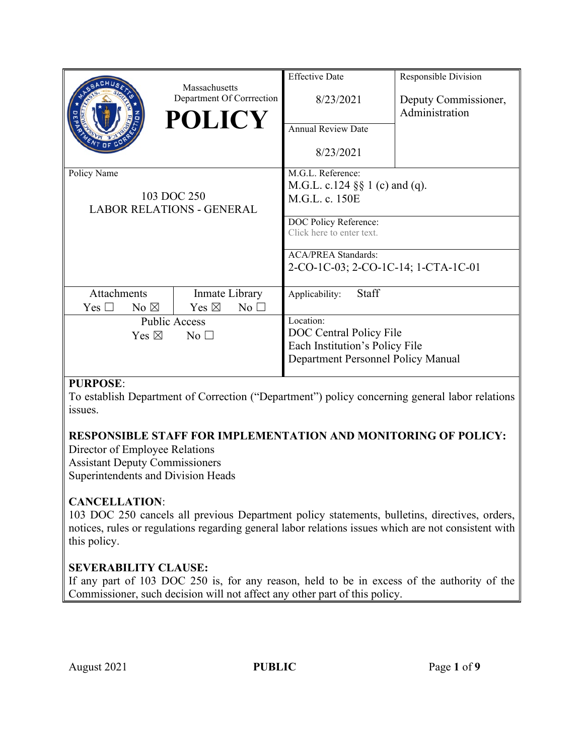|                                    |                | Massachusetts                     | <b>Effective Date</b>               | Responsible Division |
|------------------------------------|----------------|-----------------------------------|-------------------------------------|----------------------|
|                                    |                | Department Of Corrrection         | 8/23/2021                           | Deputy Commissioner, |
|                                    |                | <b>POLICY</b>                     |                                     | Administration       |
|                                    |                |                                   | <b>Annual Review Date</b>           |                      |
|                                    |                |                                   | 8/23/2021                           |                      |
| Policy Name                        |                |                                   | M.G.L. Reference:                   |                      |
|                                    |                |                                   | M.G.L. c.124 $\S$ 1 (c) and (q).    |                      |
| 103 DOC 250                        |                |                                   | M.G.L. c. 150E                      |                      |
| <b>LABOR RELATIONS - GENERAL</b>   |                |                                   | DOC Policy Reference:               |                      |
|                                    |                |                                   | Click here to enter text.           |                      |
|                                    |                |                                   |                                     |                      |
|                                    |                |                                   | <b>ACA/PREA Standards:</b>          |                      |
|                                    |                |                                   | 2-CO-1C-03; 2-CO-1C-14; 1-CTA-1C-01 |                      |
| Attachments                        |                | Inmate Library                    | Staff<br>Applicability:             |                      |
| $\rm Yes \; \Box$                  | No $\boxtimes$ | Yes $\boxtimes$<br>$No$ $\square$ |                                     |                      |
| <b>Public Access</b>               |                |                                   | Location:                           |                      |
| Yes $\boxtimes$<br>No <sub>1</sub> |                |                                   | DOC Central Policy File             |                      |
|                                    |                |                                   | Each Institution's Policy File      |                      |
|                                    |                |                                   | Department Personnel Policy Manual  |                      |
|                                    |                |                                   |                                     |                      |

# **PURPOSE**:

To establish Department of Correction ("Department") policy concerning general labor relations issues.

# **RESPONSIBLE STAFF FOR IMPLEMENTATION AND MONITORING OF POLICY:**

Director of Employee Relations Assistant Deputy Commissioners Superintendents and Division Heads

# **CANCELLATION**:

103 DOC 250 cancels all previous Department policy statements, bulletins, directives, orders, notices, rules or regulations regarding general labor relations issues which are not consistent with this policy.

# **SEVERABILITY CLAUSE:**

If any part of 103 DOC 250 is, for any reason, held to be in excess of the authority of the Commissioner, such decision will not affect any other part of this policy.

August 2021 **PUBLIC** Page 1 of 9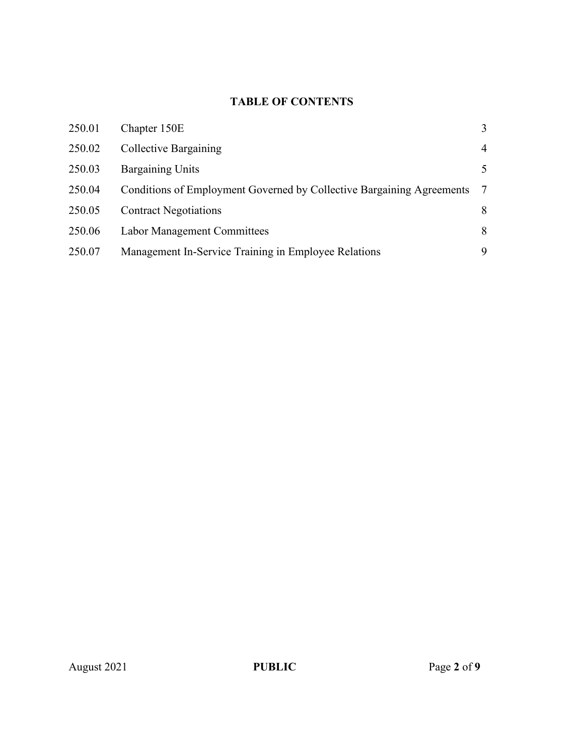# **TABLE OF CONTENTS**

| 250.01 | Chapter 150E                                                          | 3              |
|--------|-----------------------------------------------------------------------|----------------|
| 250.02 | Collective Bargaining                                                 | $\overline{4}$ |
| 250.03 | <b>Bargaining Units</b>                                               | 5              |
| 250.04 | Conditions of Employment Governed by Collective Bargaining Agreements | -7             |
| 250.05 | <b>Contract Negotiations</b>                                          | 8              |
| 250.06 | <b>Labor Management Committees</b>                                    | 8              |
| 250.07 | Management In-Service Training in Employee Relations                  | 9              |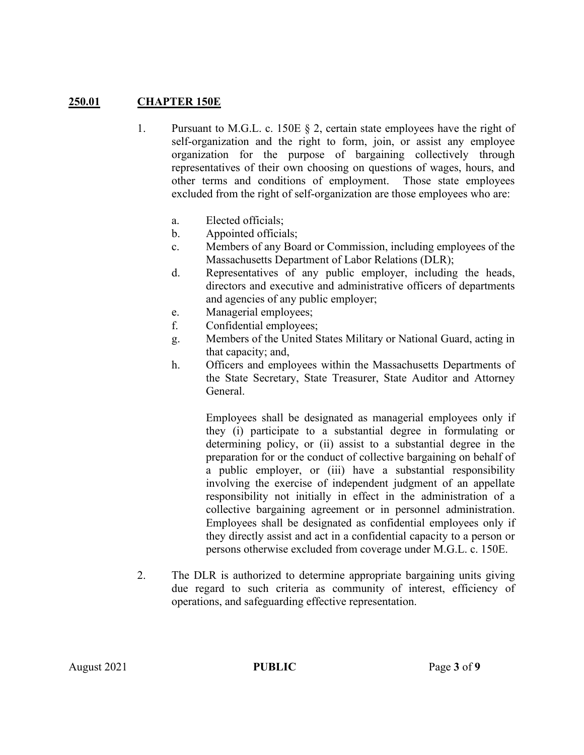# **250.01 CHAPTER 150E**

- 1. Pursuant to M.G.L. c. 150E § 2, certain state employees have the right of self-organization and the right to form, join, or assist any employee organization for the purpose of bargaining collectively through representatives of their own choosing on questions of wages, hours, and other terms and conditions of employment. Those state employees excluded from the right of self-organization are those employees who are:
	- a. Elected officials;
	- b. Appointed officials;
	- c. Members of any Board or Commission, including employees of the Massachusetts Department of Labor Relations (DLR);
	- d. Representatives of any public employer, including the heads, directors and executive and administrative officers of departments and agencies of any public employer;
	- e. Managerial employees;
	- f. Confidential employees;
	- g. Members of the United States Military or National Guard, acting in that capacity; and,
	- h. Officers and employees within the Massachusetts Departments of the State Secretary, State Treasurer, State Auditor and Attorney General.

Employees shall be designated as managerial employees only if they (i) participate to a substantial degree in formulating or determining policy, or (ii) assist to a substantial degree in the preparation for or the conduct of collective bargaining on behalf of a public employer, or (iii) have a substantial responsibility involving the exercise of independent judgment of an appellate responsibility not initially in effect in the administration of a collective bargaining agreement or in personnel administration. Employees shall be designated as confidential employees only if they directly assist and act in a confidential capacity to a person or persons otherwise excluded from coverage under M.G.L. c. 150E.

2. The DLR is authorized to determine appropriate bargaining units giving due regard to such criteria as community of interest, efficiency of operations, and safeguarding effective representation.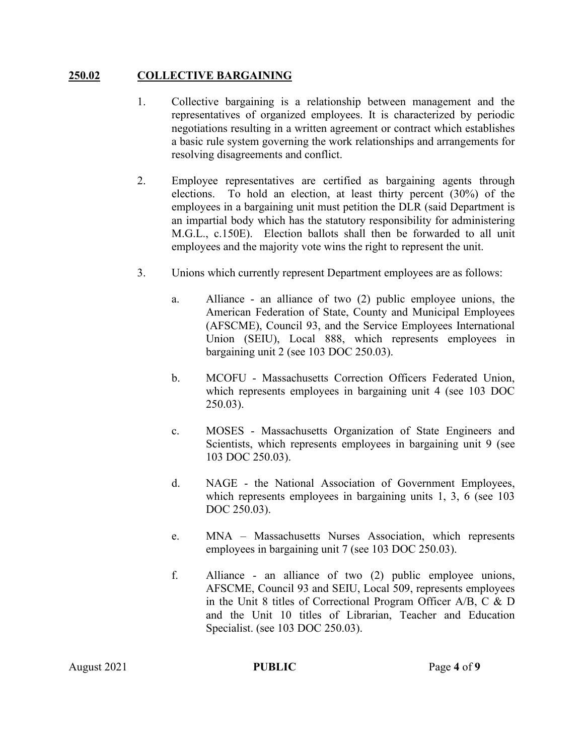### **250.02 COLLECTIVE BARGAINING**

- 1. Collective bargaining is a relationship between management and the representatives of organized employees. It is characterized by periodic negotiations resulting in a written agreement or contract which establishes a basic rule system governing the work relationships and arrangements for resolving disagreements and conflict.
- 2. Employee representatives are certified as bargaining agents through elections. To hold an election, at least thirty percent (30%) of the employees in a bargaining unit must petition the DLR (said Department is an impartial body which has the statutory responsibility for administering M.G.L., c.150E). Election ballots shall then be forwarded to all unit employees and the majority vote wins the right to represent the unit.
- 3. Unions which currently represent Department employees are as follows:
	- a. Alliance an alliance of two (2) public employee unions, the American Federation of State, County and Municipal Employees (AFSCME), Council 93, and the Service Employees International Union (SEIU), Local 888, which represents employees in bargaining unit 2 (see 103 DOC 250.03).
	- b. MCOFU Massachusetts Correction Officers Federated Union, which represents employees in bargaining unit 4 (see 103 DOC 250.03).
	- c. MOSES Massachusetts Organization of State Engineers and Scientists, which represents employees in bargaining unit 9 (see 103 DOC 250.03).
	- d. NAGE the National Association of Government Employees, which represents employees in bargaining units 1, 3, 6 (see 103) DOC 250.03).
	- e. MNA Massachusetts Nurses Association, which represents employees in bargaining unit 7 (see 103 DOC 250.03).
	- f. Alliance an alliance of two (2) public employee unions, AFSCME, Council 93 and SEIU, Local 509, represents employees in the Unit 8 titles of Correctional Program Officer A/B, C & D and the Unit 10 titles of Librarian, Teacher and Education Specialist. (see 103 DOC 250.03).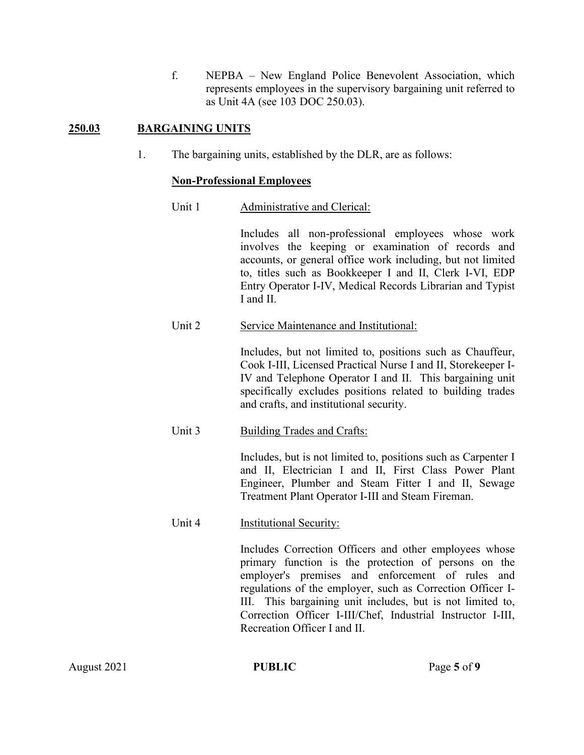f. NEPBA – New England Police Benevolent Association, which represents employees in the supervisory bargaining unit referred to as Unit 4A (see 103 DOC 250.03).

# **250.03 BARGAINING UNITS**

1. The bargaining units, established by the DLR, are as follows:

### **Non-Professional Employees**

Unit 1 Administrative and Clerical:

Includes all non-professional employees whose work involves the keeping or examination of records and accounts, or general office work including, but not limited to, titles such as Bookkeeper I and II, Clerk I-VI, EDP Entry Operator I-IV, Medical Records Librarian and Typist I and II.

Unit 2 Service Maintenance and Institutional:

Includes, but not limited to, positions such as Chauffeur, Cook I-III, Licensed Practical Nurse I and II, Storekeeper I-IV and Telephone Operator I and II. This bargaining unit specifically excludes positions related to building trades and crafts, and institutional security.

Unit 3 Building Trades and Crafts:

Includes, but is not limited to, positions such as Carpenter I and II, Electrician I and II, First Class Power Plant Engineer, Plumber and Steam Fitter I and II, Sewage Treatment Plant Operator I-III and Steam Fireman.

#### Unit 4 Institutional Security:

Includes Correction Officers and other employees whose primary function is the protection of persons on the employer's premises and enforcement of rules and regulations of the employer, such as Correction Officer I-III. This bargaining unit includes, but is not limited to, Correction Officer I-III/Chef, Industrial Instructor I-III, Recreation Officer I and II.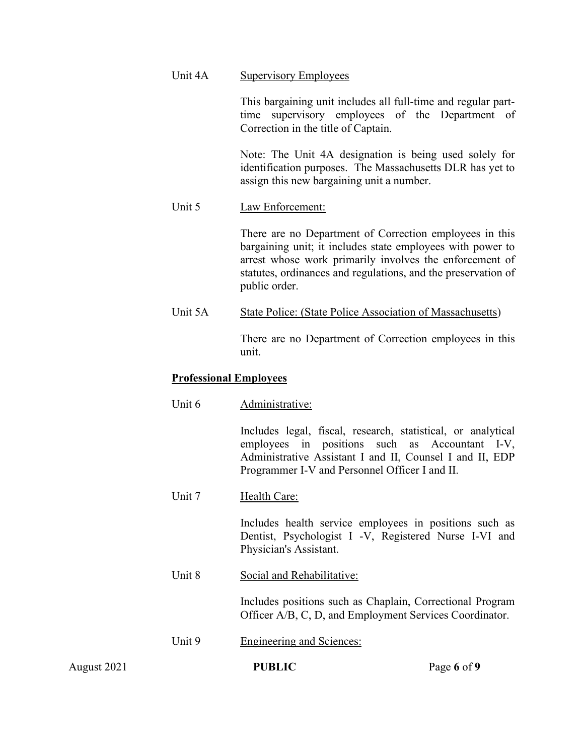#### Unit 4A Supervisory Employees

This bargaining unit includes all full-time and regular parttime supervisory employees of the Department of Correction in the title of Captain.

Note: The Unit 4A designation is being used solely for identification purposes. The Massachusetts DLR has yet to assign this new bargaining unit a number.

### Unit 5 Law Enforcement:

There are no Department of Correction employees in this bargaining unit; it includes state employees with power to arrest whose work primarily involves the enforcement of statutes, ordinances and regulations, and the preservation of public order.

Unit 5A State Police: (State Police Association of Massachusetts)

There are no Department of Correction employees in this unit.

#### **Professional Employees**

Includes legal, fiscal, research, statistical, or analytical employees in positions such as Accountant I-V, Administrative Assistant I and II, Counsel I and II, EDP Programmer I-V and Personnel Officer I and II.

Unit 7 Health Care:

Includes health service employees in positions such as Dentist, Psychologist I -V, Registered Nurse I-VI and Physician's Assistant.

Unit 8 Social and Rehabilitative:

Includes positions such as Chaplain, Correctional Program Officer A/B, C, D, and Employment Services Coordinator.

Unit 9 Engineering and Sciences:

August 2021 **PUBLIC** Page 6 of 9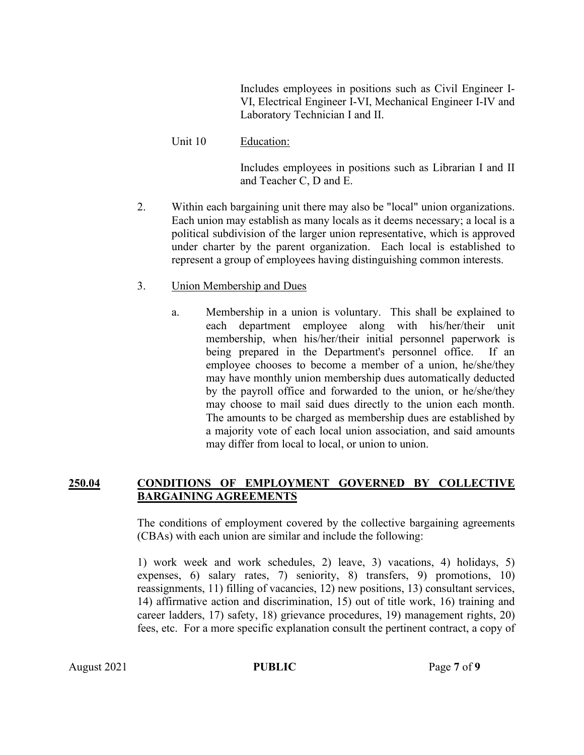Includes employees in positions such as Civil Engineer I-VI, Electrical Engineer I-VI, Mechanical Engineer I-IV and Laboratory Technician I and II.

Unit 10 Education:

Includes employees in positions such as Librarian I and II and Teacher C, D and E.

- 2. Within each bargaining unit there may also be "local" union organizations. Each union may establish as many locals as it deems necessary; a local is a political subdivision of the larger union representative, which is approved under charter by the parent organization. Each local is established to represent a group of employees having distinguishing common interests.
- 3. Union Membership and Dues
	- a. Membership in a union is voluntary. This shall be explained to each department employee along with his/her/their unit membership, when his/her/their initial personnel paperwork is being prepared in the Department's personnel office. If an employee chooses to become a member of a union, he/she/they may have monthly union membership dues automatically deducted by the payroll office and forwarded to the union, or he/she/they may choose to mail said dues directly to the union each month. The amounts to be charged as membership dues are established by a majority vote of each local union association, and said amounts may differ from local to local, or union to union.

# **250.04 CONDITIONS OF EMPLOYMENT GOVERNED BY COLLECTIVE BARGAINING AGREEMENTS**

The conditions of employment covered by the collective bargaining agreements (CBAs) with each union are similar and include the following:

1) work week and work schedules, 2) leave, 3) vacations, 4) holidays, 5) expenses, 6) salary rates, 7) seniority, 8) transfers, 9) promotions, 10) reassignments, 11) filling of vacancies, 12) new positions, 13) consultant services, 14) affirmative action and discrimination, 15) out of title work, 16) training and career ladders, 17) safety, 18) grievance procedures, 19) management rights, 20) fees, etc. For a more specific explanation consult the pertinent contract, a copy of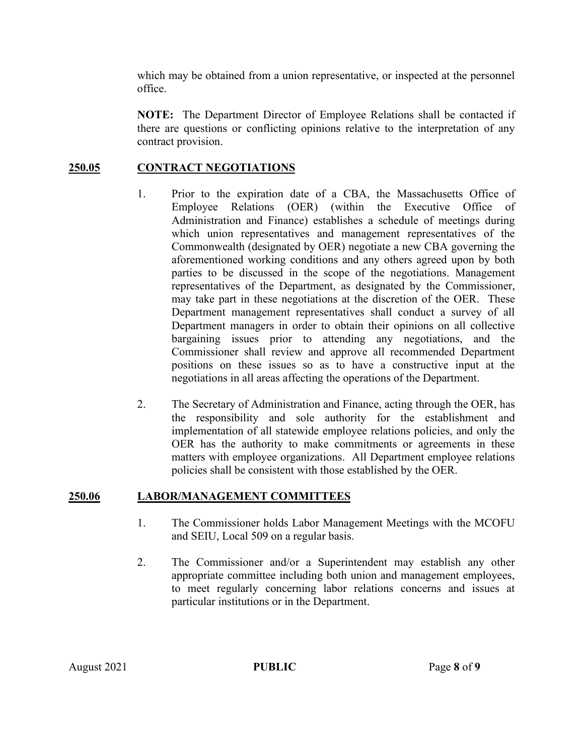which may be obtained from a union representative, or inspected at the personnel office.

**NOTE:** The Department Director of Employee Relations shall be contacted if there are questions or conflicting opinions relative to the interpretation of any contract provision.

# **250.05 CONTRACT NEGOTIATIONS**

- 1. Prior to the expiration date of a CBA, the Massachusetts Office of Employee Relations (OER) (within the Executive Office of Administration and Finance) establishes a schedule of meetings during which union representatives and management representatives of the Commonwealth (designated by OER) negotiate a new CBA governing the aforementioned working conditions and any others agreed upon by both parties to be discussed in the scope of the negotiations. Management representatives of the Department, as designated by the Commissioner, may take part in these negotiations at the discretion of the OER. These Department management representatives shall conduct a survey of all Department managers in order to obtain their opinions on all collective bargaining issues prior to attending any negotiations, and the Commissioner shall review and approve all recommended Department positions on these issues so as to have a constructive input at the negotiations in all areas affecting the operations of the Department.
- 2. The Secretary of Administration and Finance, acting through the OER, has the responsibility and sole authority for the establishment and implementation of all statewide employee relations policies, and only the OER has the authority to make commitments or agreements in these matters with employee organizations. All Department employee relations policies shall be consistent with those established by the OER.

# **250.06 LABOR/MANAGEMENT COMMITTEES**

- 1. The Commissioner holds Labor Management Meetings with the MCOFU and SEIU, Local 509 on a regular basis.
- 2. The Commissioner and/or a Superintendent may establish any other appropriate committee including both union and management employees, to meet regularly concerning labor relations concerns and issues at particular institutions or in the Department.